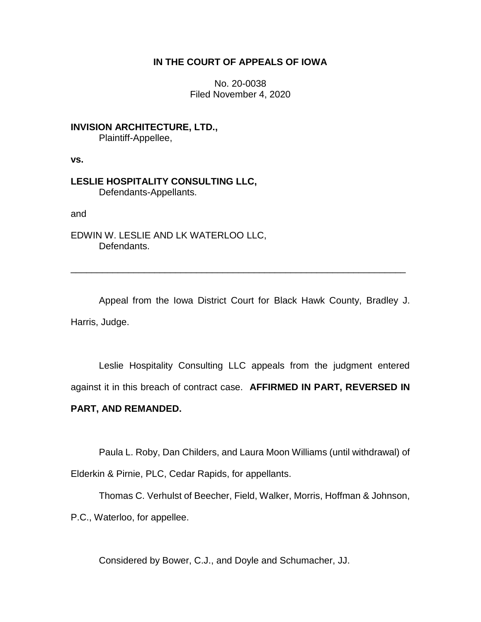## **IN THE COURT OF APPEALS OF IOWA**

No. 20-0038 Filed November 4, 2020

**INVISION ARCHITECTURE, LTD.,** Plaintiff-Appellee,

**vs.**

**LESLIE HOSPITALITY CONSULTING LLC,** Defendants-Appellants.

and

EDWIN W. LESLIE AND LK WATERLOO LLC, Defendants.

Appeal from the Iowa District Court for Black Hawk County, Bradley J. Harris, Judge.

\_\_\_\_\_\_\_\_\_\_\_\_\_\_\_\_\_\_\_\_\_\_\_\_\_\_\_\_\_\_\_\_\_\_\_\_\_\_\_\_\_\_\_\_\_\_\_\_\_\_\_\_\_\_\_\_\_\_\_\_\_\_\_\_

Leslie Hospitality Consulting LLC appeals from the judgment entered against it in this breach of contract case. **AFFIRMED IN PART, REVERSED IN** 

# **PART, AND REMANDED.**

Paula L. Roby, Dan Childers, and Laura Moon Williams (until withdrawal) of

Elderkin & Pirnie, PLC, Cedar Rapids, for appellants.

Thomas C. Verhulst of Beecher, Field, Walker, Morris, Hoffman & Johnson,

P.C., Waterloo, for appellee.

Considered by Bower, C.J., and Doyle and Schumacher, JJ.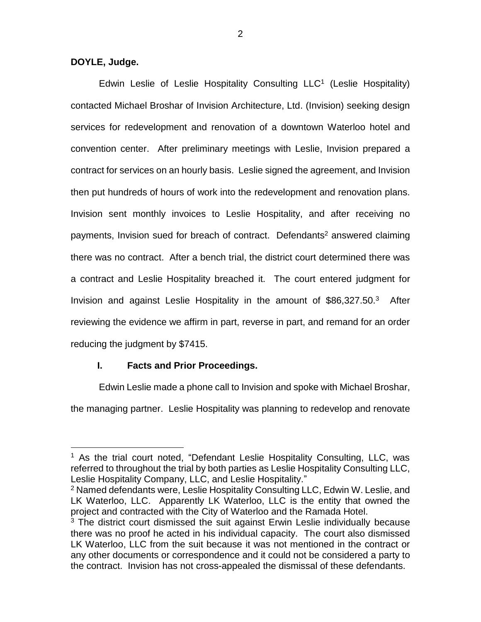**DOYLE, Judge.**

 $\overline{a}$ 

Edwin Leslie of Leslie Hospitality Consulting LLC<sup>1</sup> (Leslie Hospitality) contacted Michael Broshar of Invision Architecture, Ltd. (Invision) seeking design services for redevelopment and renovation of a downtown Waterloo hotel and convention center. After preliminary meetings with Leslie, Invision prepared a contract for services on an hourly basis. Leslie signed the agreement, and Invision then put hundreds of hours of work into the redevelopment and renovation plans. Invision sent monthly invoices to Leslie Hospitality, and after receiving no payments, Invision sued for breach of contract. Defendants<sup>2</sup> answered claiming there was no contract. After a bench trial, the district court determined there was a contract and Leslie Hospitality breached it. The court entered judgment for Invision and against Leslie Hospitality in the amount of \$86,327.50.<sup>3</sup> After reviewing the evidence we affirm in part, reverse in part, and remand for an order reducing the judgment by \$7415.

# **I. Facts and Prior Proceedings.**

Edwin Leslie made a phone call to Invision and spoke with Michael Broshar,

the managing partner. Leslie Hospitality was planning to redevelop and renovate

<sup>1</sup> As the trial court noted, "Defendant Leslie Hospitality Consulting, LLC, was referred to throughout the trial by both parties as Leslie Hospitality Consulting LLC, Leslie Hospitality Company, LLC, and Leslie Hospitality."

<sup>&</sup>lt;sup>2</sup> Named defendants were, Leslie Hospitality Consulting LLC, Edwin W. Leslie, and LK Waterloo, LLC. Apparently LK Waterloo, LLC is the entity that owned the project and contracted with the City of Waterloo and the Ramada Hotel.

 $3$  The district court dismissed the suit against Erwin Leslie individually because there was no proof he acted in his individual capacity. The court also dismissed LK Waterloo, LLC from the suit because it was not mentioned in the contract or any other documents or correspondence and it could not be considered a party to the contract. Invision has not cross-appealed the dismissal of these defendants.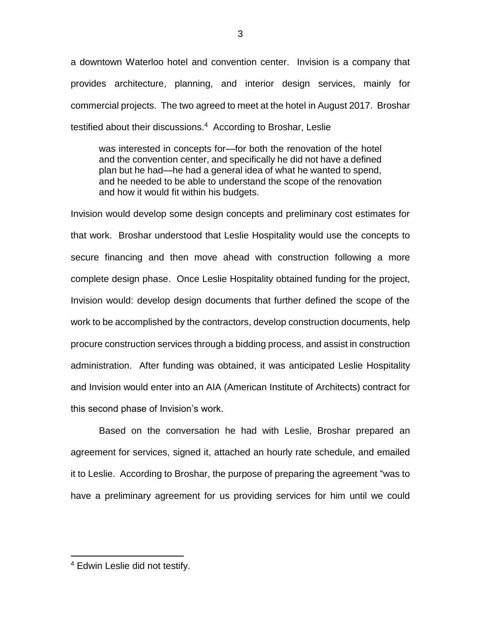a downtown Waterloo hotel and convention center. Invision is a company that provides architecture, planning, and interior design services, mainly for commercial projects. The two agreed to meet at the hotel in August 2017. Broshar testified about their discussions.<sup>4</sup> According to Broshar, Leslie

was interested in concepts for—for both the renovation of the hotel and the convention center, and specifically he did not have a defined plan but he had—he had a general idea of what he wanted to spend, and he needed to be able to understand the scope of the renovation and how it would fit within his budgets.

Invision would develop some design concepts and preliminary cost estimates for that work. Broshar understood that Leslie Hospitality would use the concepts to secure financing and then move ahead with construction following a more complete design phase. Once Leslie Hospitality obtained funding for the project, Invision would: develop design documents that further defined the scope of the work to be accomplished by the contractors, develop construction documents, help procure construction services through a bidding process, and assist in construction administration. After funding was obtained, it was anticipated Leslie Hospitality and Invision would enter into an AIA (American Institute of Architects) contract for this second phase of Invision's work.

Based on the conversation he had with Leslie, Broshar prepared an agreement for services, signed it, attached an hourly rate schedule, and emailed it to Leslie. According to Broshar, the purpose of preparing the agreement "was to have a preliminary agreement for us providing services for him until we could

 $\overline{a}$ 

<sup>4</sup> Edwin Leslie did not testify.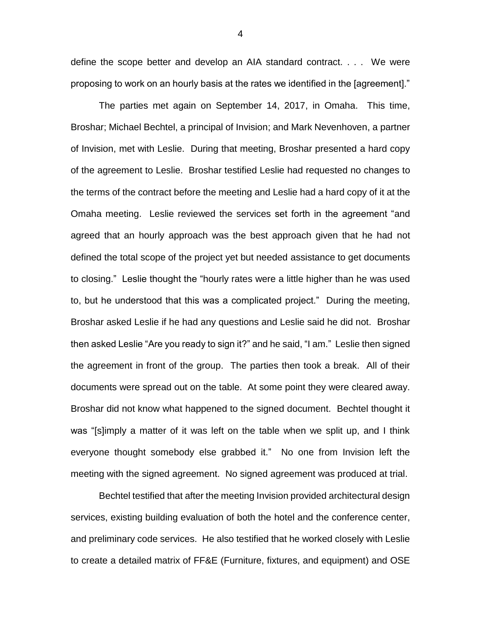define the scope better and develop an AIA standard contract. . . . We were proposing to work on an hourly basis at the rates we identified in the [agreement]."

The parties met again on September 14, 2017, in Omaha. This time, Broshar; Michael Bechtel, a principal of Invision; and Mark Nevenhoven, a partner of Invision, met with Leslie. During that meeting, Broshar presented a hard copy of the agreement to Leslie. Broshar testified Leslie had requested no changes to the terms of the contract before the meeting and Leslie had a hard copy of it at the Omaha meeting. Leslie reviewed the services set forth in the agreement "and agreed that an hourly approach was the best approach given that he had not defined the total scope of the project yet but needed assistance to get documents to closing." Leslie thought the "hourly rates were a little higher than he was used to, but he understood that this was a complicated project." During the meeting, Broshar asked Leslie if he had any questions and Leslie said he did not. Broshar then asked Leslie "Are you ready to sign it?" and he said, "I am." Leslie then signed the agreement in front of the group. The parties then took a break. All of their documents were spread out on the table. At some point they were cleared away. Broshar did not know what happened to the signed document. Bechtel thought it was "[s]imply a matter of it was left on the table when we split up, and I think everyone thought somebody else grabbed it." No one from Invision left the meeting with the signed agreement. No signed agreement was produced at trial.

Bechtel testified that after the meeting Invision provided architectural design services, existing building evaluation of both the hotel and the conference center, and preliminary code services. He also testified that he worked closely with Leslie to create a detailed matrix of FF&E (Furniture, fixtures, and equipment) and OSE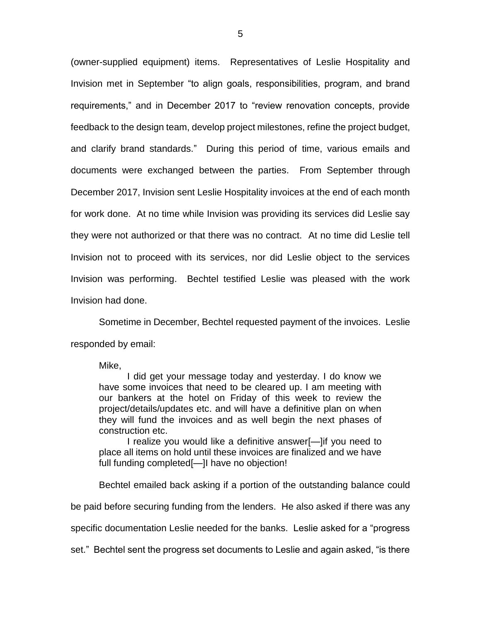(owner-supplied equipment) items. Representatives of Leslie Hospitality and Invision met in September "to align goals, responsibilities, program, and brand requirements," and in December 2017 to "review renovation concepts, provide feedback to the design team, develop project milestones, refine the project budget, and clarify brand standards." During this period of time, various emails and documents were exchanged between the parties. From September through December 2017, Invision sent Leslie Hospitality invoices at the end of each month for work done. At no time while Invision was providing its services did Leslie say they were not authorized or that there was no contract. At no time did Leslie tell Invision not to proceed with its services, nor did Leslie object to the services Invision was performing. Bechtel testified Leslie was pleased with the work Invision had done.

Sometime in December, Bechtel requested payment of the invoices. Leslie responded by email:

#### Mike,

I did get your message today and yesterday. I do know we have some invoices that need to be cleared up. I am meeting with our bankers at the hotel on Friday of this week to review the project/details/updates etc. and will have a definitive plan on when they will fund the invoices and as well begin the next phases of construction etc.

I realize you would like a definitive answer[—]if you need to place all items on hold until these invoices are finalized and we have full funding completed[—]I have no objection!

Bechtel emailed back asking if a portion of the outstanding balance could

be paid before securing funding from the lenders. He also asked if there was any

specific documentation Leslie needed for the banks. Leslie asked for a "progress

set." Bechtel sent the progress set documents to Leslie and again asked, "is there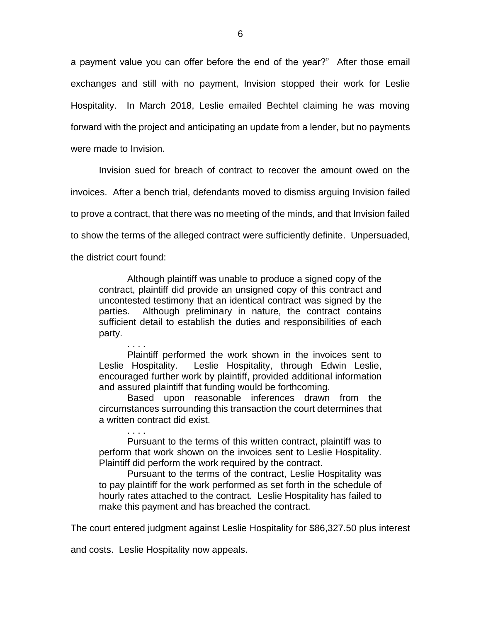a payment value you can offer before the end of the year?" After those email exchanges and still with no payment, Invision stopped their work for Leslie Hospitality. In March 2018, Leslie emailed Bechtel claiming he was moving forward with the project and anticipating an update from a lender, but no payments were made to Invision.

Invision sued for breach of contract to recover the amount owed on the invoices. After a bench trial, defendants moved to dismiss arguing Invision failed to prove a contract, that there was no meeting of the minds, and that Invision failed to show the terms of the alleged contract were sufficiently definite. Unpersuaded,

the district court found:

Although plaintiff was unable to produce a signed copy of the contract, plaintiff did provide an unsigned copy of this contract and uncontested testimony that an identical contract was signed by the parties. Although preliminary in nature, the contract contains sufficient detail to establish the duties and responsibilities of each party.

. . . . Plaintiff performed the work shown in the invoices sent to Leslie Hospitality. Leslie Hospitality, through Edwin Leslie, encouraged further work by plaintiff, provided additional information and assured plaintiff that funding would be forthcoming.

Based upon reasonable inferences drawn from the circumstances surrounding this transaction the court determines that a written contract did exist.

. . . . Pursuant to the terms of this written contract, plaintiff was to perform that work shown on the invoices sent to Leslie Hospitality. Plaintiff did perform the work required by the contract.

Pursuant to the terms of the contract, Leslie Hospitality was to pay plaintiff for the work performed as set forth in the schedule of hourly rates attached to the contract. Leslie Hospitality has failed to make this payment and has breached the contract.

The court entered judgment against Leslie Hospitality for \$86,327.50 plus interest

and costs. Leslie Hospitality now appeals.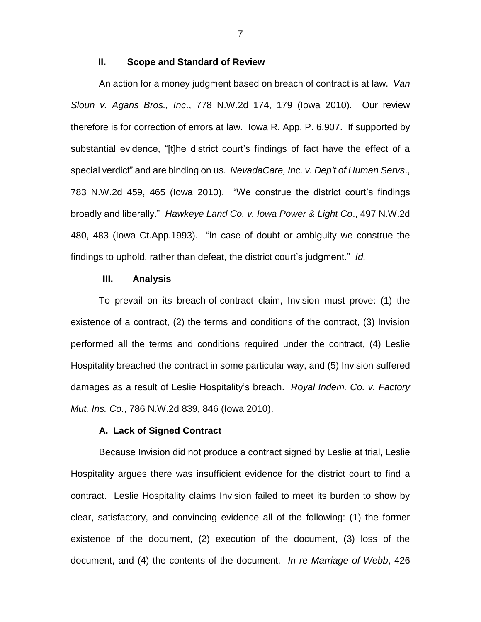## **II. Scope and Standard of Review**

An action for a money judgment based on breach of contract is at law. *Van Sloun v. Agans Bros., Inc*., 778 N.W.2d 174, 179 (Iowa 2010). Our review therefore is for correction of errors at law. Iowa R. App. P. 6.907. If supported by substantial evidence, "[t]he district court's findings of fact have the effect of a special verdict" and are binding on us. *NevadaCare, Inc. v. Dep't of Human Servs*., 783 N.W.2d 459, 465 (Iowa 2010). "We construe the district court's findings broadly and liberally." *Hawkeye Land Co. v. Iowa Power & Light Co*., 497 N.W.2d 480, 483 (Iowa Ct.App.1993). "In case of doubt or ambiguity we construe the findings to uphold, rather than defeat, the district court's judgment." *Id.*

## **III. Analysis**

To prevail on its breach-of-contract claim, Invision must prove: (1) the existence of a contract, (2) the terms and conditions of the contract, (3) Invision performed all the terms and conditions required under the contract, (4) Leslie Hospitality breached the contract in some particular way, and (5) Invision suffered damages as a result of Leslie Hospitality's breach. *Royal Indem. Co. v. Factory Mut. Ins. Co.*, 786 N.W.2d 839, 846 (Iowa 2010).

### **A. Lack of Signed Contract**

Because Invision did not produce a contract signed by Leslie at trial, Leslie Hospitality argues there was insufficient evidence for the district court to find a contract. Leslie Hospitality claims Invision failed to meet its burden to show by clear, satisfactory, and convincing evidence all of the following: (1) the former existence of the document, (2) execution of the document, (3) loss of the document, and (4) the contents of the document. *In re Marriage of Webb*, 426

7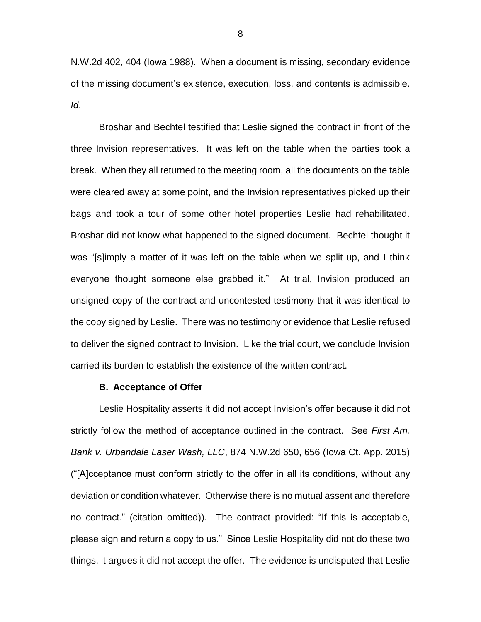N.W.2d 402, 404 (Iowa 1988). When a document is missing, secondary evidence of the missing document's existence, execution, loss, and contents is admissible. *Id*.

Broshar and Bechtel testified that Leslie signed the contract in front of the three Invision representatives. It was left on the table when the parties took a break. When they all returned to the meeting room, all the documents on the table were cleared away at some point, and the Invision representatives picked up their bags and took a tour of some other hotel properties Leslie had rehabilitated. Broshar did not know what happened to the signed document. Bechtel thought it was "[s]imply a matter of it was left on the table when we split up, and I think everyone thought someone else grabbed it." At trial, Invision produced an unsigned copy of the contract and uncontested testimony that it was identical to the copy signed by Leslie. There was no testimony or evidence that Leslie refused to deliver the signed contract to Invision. Like the trial court, we conclude Invision carried its burden to establish the existence of the written contract.

### **B. Acceptance of Offer**

Leslie Hospitality asserts it did not accept Invision's offer because it did not strictly follow the method of acceptance outlined in the contract. See *First Am. Bank v. Urbandale Laser Wash, LLC*, 874 N.W.2d 650, 656 (Iowa Ct. App. 2015) ("[A]cceptance must conform strictly to the offer in all its conditions, without any deviation or condition whatever. Otherwise there is no mutual assent and therefore no contract." (citation omitted)). The contract provided: "If this is acceptable, please sign and return a copy to us." Since Leslie Hospitality did not do these two things, it argues it did not accept the offer. The evidence is undisputed that Leslie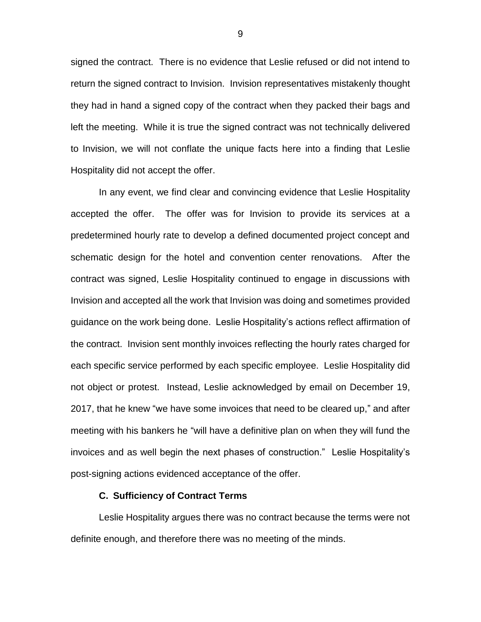signed the contract. There is no evidence that Leslie refused or did not intend to return the signed contract to Invision. Invision representatives mistakenly thought they had in hand a signed copy of the contract when they packed their bags and left the meeting. While it is true the signed contract was not technically delivered to Invision, we will not conflate the unique facts here into a finding that Leslie Hospitality did not accept the offer.

In any event, we find clear and convincing evidence that Leslie Hospitality accepted the offer. The offer was for Invision to provide its services at a predetermined hourly rate to develop a defined documented project concept and schematic design for the hotel and convention center renovations. After the contract was signed, Leslie Hospitality continued to engage in discussions with Invision and accepted all the work that Invision was doing and sometimes provided guidance on the work being done. Leslie Hospitality's actions reflect affirmation of the contract. Invision sent monthly invoices reflecting the hourly rates charged for each specific service performed by each specific employee. Leslie Hospitality did not object or protest. Instead, Leslie acknowledged by email on December 19, 2017, that he knew "we have some invoices that need to be cleared up," and after meeting with his bankers he "will have a definitive plan on when they will fund the invoices and as well begin the next phases of construction." Leslie Hospitality's post-signing actions evidenced acceptance of the offer.

## **C. Sufficiency of Contract Terms**

Leslie Hospitality argues there was no contract because the terms were not definite enough, and therefore there was no meeting of the minds.

9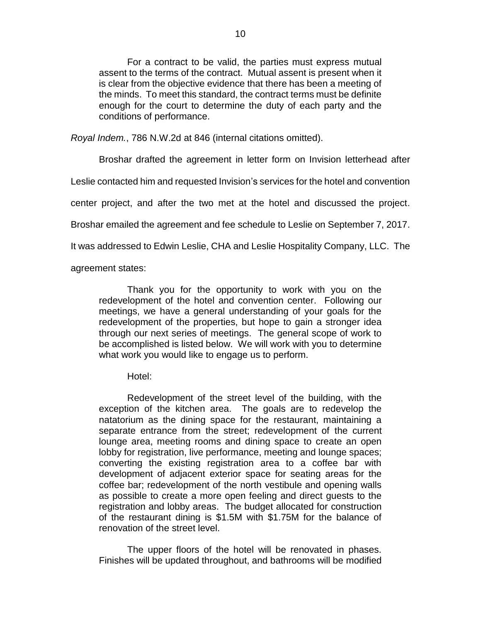For a contract to be valid, the parties must express mutual assent to the terms of the contract. Mutual assent is present when it is clear from the objective evidence that there has been a meeting of the minds. To meet this standard, the contract terms must be definite enough for the court to determine the duty of each party and the conditions of performance.

*Royal Indem.*, 786 N.W.2d at 846 (internal citations omitted).

Broshar drafted the agreement in letter form on Invision letterhead after

Leslie contacted him and requested Invision's services for the hotel and convention

center project, and after the two met at the hotel and discussed the project.

Broshar emailed the agreement and fee schedule to Leslie on September 7, 2017.

It was addressed to Edwin Leslie, CHA and Leslie Hospitality Company, LLC. The

agreement states:

Thank you for the opportunity to work with you on the redevelopment of the hotel and convention center. Following our meetings, we have a general understanding of your goals for the redevelopment of the properties, but hope to gain a stronger idea through our next series of meetings. The general scope of work to be accomplished is listed below. We will work with you to determine what work you would like to engage us to perform.

Hotel:

Redevelopment of the street level of the building, with the exception of the kitchen area. The goals are to redevelop the natatorium as the dining space for the restaurant, maintaining a separate entrance from the street; redevelopment of the current lounge area, meeting rooms and dining space to create an open lobby for registration, live performance, meeting and lounge spaces; converting the existing registration area to a coffee bar with development of adjacent exterior space for seating areas for the coffee bar; redevelopment of the north vestibule and opening walls as possible to create a more open feeling and direct guests to the registration and lobby areas. The budget allocated for construction of the restaurant dining is \$1.5M with \$1.75M for the balance of renovation of the street level.

The upper floors of the hotel will be renovated in phases. Finishes will be updated throughout, and bathrooms will be modified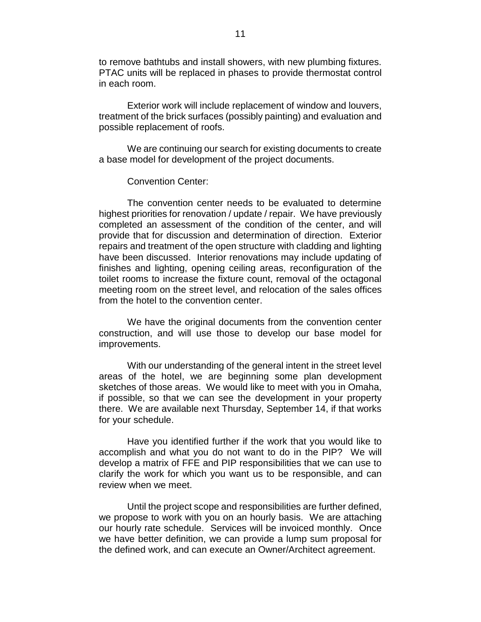to remove bathtubs and install showers, with new plumbing fixtures. PTAC units will be replaced in phases to provide thermostat control in each room.

Exterior work will include replacement of window and louvers, treatment of the brick surfaces (possibly painting) and evaluation and possible replacement of roofs.

We are continuing our search for existing documents to create a base model for development of the project documents.

## Convention Center:

The convention center needs to be evaluated to determine highest priorities for renovation / update / repair. We have previously completed an assessment of the condition of the center, and will provide that for discussion and determination of direction. Exterior repairs and treatment of the open structure with cladding and lighting have been discussed. Interior renovations may include updating of finishes and lighting, opening ceiling areas, reconfiguration of the toilet rooms to increase the fixture count, removal of the octagonal meeting room on the street level, and relocation of the sales offices from the hotel to the convention center.

We have the original documents from the convention center construction, and will use those to develop our base model for improvements.

With our understanding of the general intent in the street level areas of the hotel, we are beginning some plan development sketches of those areas. We would like to meet with you in Omaha, if possible, so that we can see the development in your property there. We are available next Thursday, September 14, if that works for your schedule.

Have you identified further if the work that you would like to accomplish and what you do not want to do in the PIP? We will develop a matrix of FFE and PIP responsibilities that we can use to clarify the work for which you want us to be responsible, and can review when we meet.

Until the project scope and responsibilities are further defined, we propose to work with you on an hourly basis. We are attaching our hourly rate schedule. Services will be invoiced monthly. Once we have better definition, we can provide a lump sum proposal for the defined work, and can execute an Owner/Architect agreement.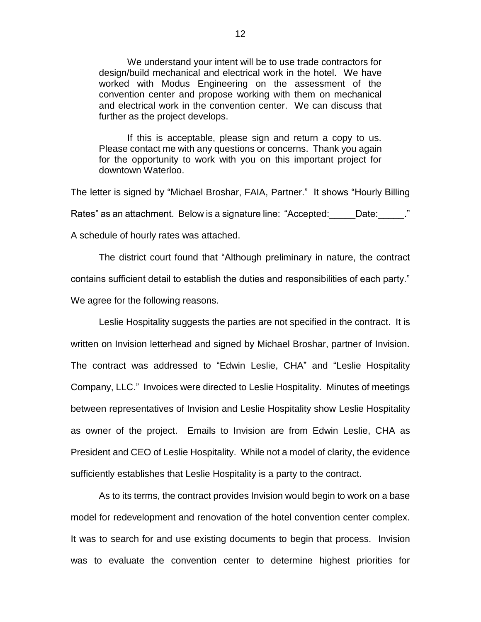We understand your intent will be to use trade contractors for design/build mechanical and electrical work in the hotel. We have worked with Modus Engineering on the assessment of the convention center and propose working with them on mechanical and electrical work in the convention center. We can discuss that further as the project develops.

If this is acceptable, please sign and return a copy to us. Please contact me with any questions or concerns. Thank you again for the opportunity to work with you on this important project for downtown Waterloo.

The letter is signed by "Michael Broshar, FAIA, Partner." It shows "Hourly Billing Rates" as an attachment. Below is a signature line: "Accepted: Date: Date: " A schedule of hourly rates was attached.

The district court found that "Although preliminary in nature, the contract contains sufficient detail to establish the duties and responsibilities of each party." We agree for the following reasons.

Leslie Hospitality suggests the parties are not specified in the contract. It is written on Invision letterhead and signed by Michael Broshar, partner of Invision. The contract was addressed to "Edwin Leslie, CHA" and "Leslie Hospitality Company, LLC." Invoices were directed to Leslie Hospitality. Minutes of meetings between representatives of Invision and Leslie Hospitality show Leslie Hospitality as owner of the project. Emails to Invision are from Edwin Leslie, CHA as President and CEO of Leslie Hospitality. While not a model of clarity, the evidence sufficiently establishes that Leslie Hospitality is a party to the contract.

As to its terms, the contract provides Invision would begin to work on a base model for redevelopment and renovation of the hotel convention center complex. It was to search for and use existing documents to begin that process. Invision was to evaluate the convention center to determine highest priorities for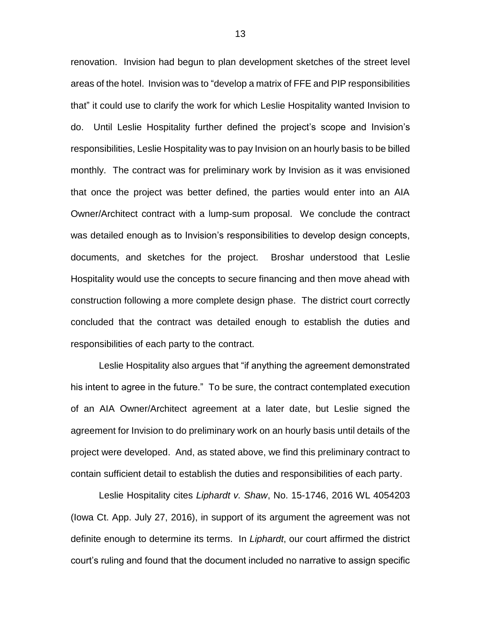renovation. Invision had begun to plan development sketches of the street level areas of the hotel. Invision was to "develop a matrix of FFE and PIP responsibilities that" it could use to clarify the work for which Leslie Hospitality wanted Invision to do. Until Leslie Hospitality further defined the project's scope and Invision's responsibilities, Leslie Hospitality was to pay Invision on an hourly basis to be billed monthly. The contract was for preliminary work by Invision as it was envisioned that once the project was better defined, the parties would enter into an AIA Owner/Architect contract with a lump-sum proposal. We conclude the contract was detailed enough as to Invision's responsibilities to develop design concepts, documents, and sketches for the project. Broshar understood that Leslie Hospitality would use the concepts to secure financing and then move ahead with construction following a more complete design phase. The district court correctly concluded that the contract was detailed enough to establish the duties and responsibilities of each party to the contract.

Leslie Hospitality also argues that "if anything the agreement demonstrated his intent to agree in the future." To be sure, the contract contemplated execution of an AIA Owner/Architect agreement at a later date, but Leslie signed the agreement for Invision to do preliminary work on an hourly basis until details of the project were developed. And, as stated above, we find this preliminary contract to contain sufficient detail to establish the duties and responsibilities of each party.

Leslie Hospitality cites *Liphardt v. Shaw*, No. 15-1746, 2016 WL 4054203 (Iowa Ct. App. July 27, 2016), in support of its argument the agreement was not definite enough to determine its terms. In *Liphardt*, our court affirmed the district court's ruling and found that the document included no narrative to assign specific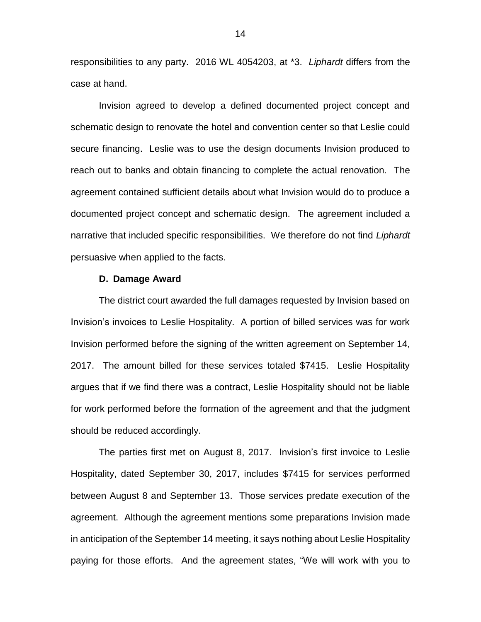responsibilities to any party. 2016 WL 4054203, at \*3. *Liphardt* differs from the case at hand.

Invision agreed to develop a defined documented project concept and schematic design to renovate the hotel and convention center so that Leslie could secure financing. Leslie was to use the design documents Invision produced to reach out to banks and obtain financing to complete the actual renovation. The agreement contained sufficient details about what Invision would do to produce a documented project concept and schematic design. The agreement included a narrative that included specific responsibilities. We therefore do not find *Liphardt* persuasive when applied to the facts.

#### **D. Damage Award**

The district court awarded the full damages requested by Invision based on Invision's invoices to Leslie Hospitality. A portion of billed services was for work Invision performed before the signing of the written agreement on September 14, 2017. The amount billed for these services totaled \$7415. Leslie Hospitality argues that if we find there was a contract, Leslie Hospitality should not be liable for work performed before the formation of the agreement and that the judgment should be reduced accordingly.

The parties first met on August 8, 2017. Invision's first invoice to Leslie Hospitality, dated September 30, 2017, includes \$7415 for services performed between August 8 and September 13. Those services predate execution of the agreement. Although the agreement mentions some preparations Invision made in anticipation of the September 14 meeting, it says nothing about Leslie Hospitality paying for those efforts. And the agreement states, "We will work with you to